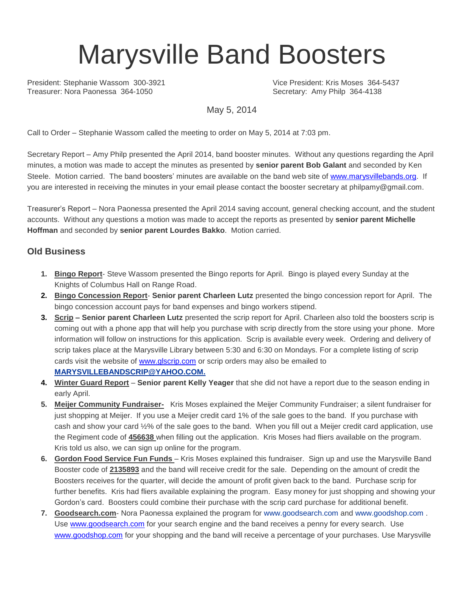# Marysville Band Boosters

President: Stephanie Wassom 300-3921 Vice President: Kris Moses 364-5437<br>
Treasurer: Nora Paonessa 364-1050 Vice President: Amy Philo 364-4138

Secretary: Amy Philp 364-4138

May 5, 2014

Call to Order – Stephanie Wassom called the meeting to order on May 5, 2014 at 7:03 pm.

Secretary Report – Amy Philp presented the April 2014, band booster minutes. Without any questions regarding the April minutes, a motion was made to accept the minutes as presented by **senior parent Bob Galant** and seconded by Ken Steele. Motion carried. The band boosters' minutes are available on the band web site of [www.marysvillebands.org.](http://www.marysvillebands.org/) If you are interested in receiving the minutes in your email please contact the booster secretary at philpamy@gmail.com.

Treasurer's Report – Nora Paonessa presented the April 2014 saving account, general checking account, and the student accounts. Without any questions a motion was made to accept the reports as presented by **senior parent Michelle Hoffman** and seconded by **senior parent Lourdes Bakko**. Motion carried.

### **Old Business**

- **1. Bingo Report** Steve Wassom presented the Bingo reports for April. Bingo is played every Sunday at the Knights of Columbus Hall on Range Road.
- **2. Bingo Concession Report Senior parent Charleen Lutz** presented the bingo concession report for April. The bingo concession account pays for band expenses and bingo workers stipend.
- **3. Scrip – Senior parent Charleen Lutz** presented the scrip report for April. Charleen also told the boosters scrip is coming out with a phone app that will help you purchase with scrip directly from the store using your phone. More information will follow on instructions for this application. Scrip is available every week. Ordering and delivery of scrip takes place at the Marysville Library between 5:30 and 6:30 on Mondays. For a complete listing of scrip cards visit the website of [www.glscrip.com](http://www.glscrip.com/) or scrip orders may also be emailed to **[MARYSVILLEBANDSCRIP@YAHOO.COM.](http://us.f838.mail.yahoo.com/ym/Compose?To=MARYSVILLEBANDSCRIP@YAHOO.COM%20/%20_blank)**
- **4. Winter Guard Report Senior parent Kelly Yeager** that she did not have a report due to the season ending in early April.
- **5. Meijer Community Fundraiser-** Kris Moses explained the Meijer Community Fundraiser; a silent fundraiser for just shopping at Meijer. If you use a Meijer credit card 1% of the sale goes to the band. If you purchase with cash and show your card ½% of the sale goes to the band. When you fill out a Meijer credit card application, use the Regiment code of **456638** when filling out the application. Kris Moses had fliers available on the program. Kris told us also, we can sign up online for the program.
- **6. Gordon Food Service Fun Funds**  Kris Moses explained this fundraiser. Sign up and use the Marysville Band Booster code of **2135893** and the band will receive credit for the sale. Depending on the amount of credit the Boosters receives for the quarter, will decide the amount of profit given back to the band. Purchase scrip for further benefits. Kris had fliers available explaining the program. Easy money for just shopping and showing your Gordon's card. Boosters could combine their purchase with the scrip card purchase for additional benefit.
- **7. Goodsearch.com** Nora Paonessa explained the program for [www.goodsearch.com](http://www.goodsearch.com/) and [www.goodshop.com](http://www.goodshop.com/) . Use [www.goodsearch.com](http://www.goodsearch.com/) for your search engine and the band receives a penny for every search. Use [www.goodshop.com](http://www.goodshop.com/) for your shopping and the band will receive a percentage of your purchases. Use Marysville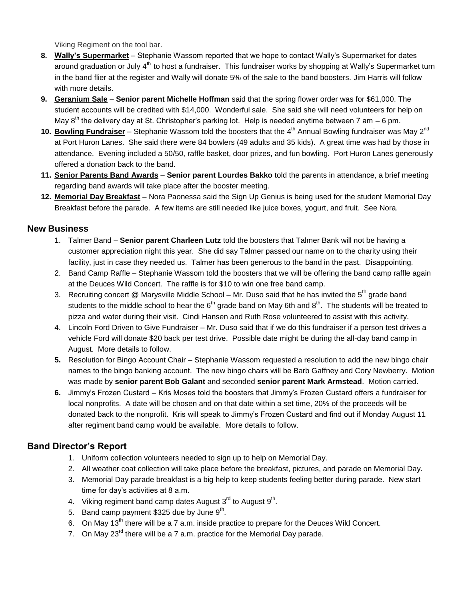Viking Regiment on the tool bar.

- **8. Wally's Supermarket** Stephanie Wassom reported that we hope to contact Wally's Supermarket for dates around graduation or July 4<sup>th</sup> to host a fundraiser. This fundraiser works by shopping at Wally's Supermarket turn in the band flier at the register and Wally will donate 5% of the sale to the band boosters. Jim Harris will follow with more details.
- **9. Geranium Sale Senior parent Michelle Hoffman** said that the spring flower order was for \$61,000. The student accounts will be credited with \$14,000. Wonderful sale. She said she will need volunteers for help on May  $8<sup>th</sup>$  the delivery day at St. Christopher's parking lot. Help is needed anytime between 7 am – 6 pm.
- 10. Bowling Fundraiser Stephanie Wassom told the boosters that the 4<sup>th</sup> Annual Bowling fundraiser was May 2<sup>nd</sup> at Port Huron Lanes. She said there were 84 bowlers (49 adults and 35 kids). A great time was had by those in attendance. Evening included a 50/50, raffle basket, door prizes, and fun bowling. Port Huron Lanes generously offered a donation back to the band.
- **11. Senior Parents Band Awards Senior parent Lourdes Bakko** told the parents in attendance, a brief meeting regarding band awards will take place after the booster meeting.
- **12. Memorial Day Breakfast** Nora Paonessa said the Sign Up Genius is being used for the student Memorial Day Breakfast before the parade. A few items are still needed like juice boxes, yogurt, and fruit. See Nora.

#### **New Business**

- 1. Talmer Band **Senior parent Charleen Lutz** told the boosters that Talmer Bank will not be having a customer appreciation night this year. She did say Talmer passed our name on to the charity using their facility, just in case they needed us. Talmer has been generous to the band in the past. Disappointing.
- 2. Band Camp Raffle Stephanie Wassom told the boosters that we will be offering the band camp raffle again at the Deuces Wild Concert. The raffle is for \$10 to win one free band camp.
- 3. Recruiting concert @ Marysville Middle School Mr. Duso said that he has invited the  $5<sup>th</sup>$  grade band students to the middle school to hear the  $6<sup>th</sup>$  grade band on May 6th and  $8<sup>th</sup>$ . The students will be treated to pizza and water during their visit. Cindi Hansen and Ruth Rose volunteered to assist with this activity.
- 4. Lincoln Ford Driven to Give Fundraiser Mr. Duso said that if we do this fundraiser if a person test drives a vehicle Ford will donate \$20 back per test drive. Possible date might be during the all-day band camp in August. More details to follow.
- **5.** Resolution for Bingo Account Chair Stephanie Wassom requested a resolution to add the new bingo chair names to the bingo banking account. The new bingo chairs will be Barb Gaffney and Cory Newberry. Motion was made by **senior parent Bob Galant** and seconded **senior parent Mark Armstead**. Motion carried.
- **6.** Jimmy's Frozen Custard Kris Moses told the boosters that Jimmy's Frozen Custard offers a fundraiser for local nonprofits. A date will be chosen and on that date within a set time, 20% of the proceeds will be donated back to the nonprofit. Kris will speak to Jimmy's Frozen Custard and find out if Monday August 11 after regiment band camp would be available. More details to follow.

## **Band Director's Report**

- 1. Uniform collection volunteers needed to sign up to help on Memorial Day.
- 2. All weather coat collection will take place before the breakfast, pictures, and parade on Memorial Day.
- 3. Memorial Day parade breakfast is a big help to keep students feeling better during parade. New start time for day's activities at 8 a.m.
- 4. Viking regiment band camp dates August  $3^{\text{rd}}$  to August  $9^{\text{th}}$ .
- 5. Band camp payment \$325 due by June  $9<sup>th</sup>$ .
- 6. On May 13<sup>th</sup> there will be a 7 a.m. inside practice to prepare for the Deuces Wild Concert.
- 7. On May  $23^{\text{rd}}$  there will be a 7 a.m. practice for the Memorial Day parade.